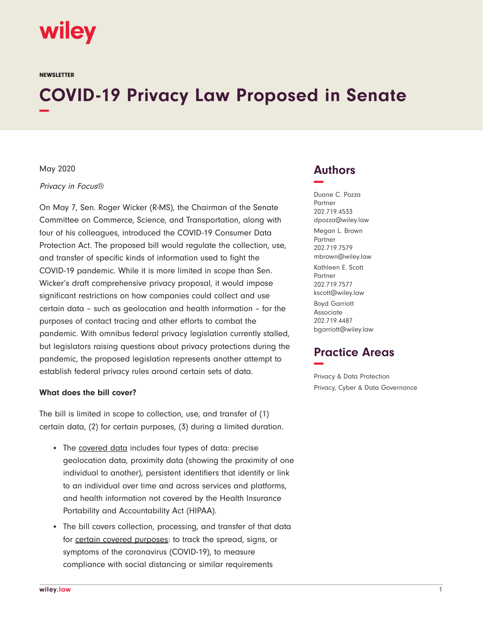

**NEWSLETTER** 

# **COVID-19 Privacy Law Proposed in Senate −**

#### May 2020

#### Privacy in Focus®

On May 7, Sen. Roger Wicker (R-MS), the Chairman of the Senate Committee on Commerce, Science, and Transportation, along with four of his colleagues, introduced the COVID-19 Consumer Data Protection Act. The proposed bill would regulate the collection, use, and transfer of specific kinds of information used to fight the COVID-19 pandemic. While it is more limited in scope than Sen. Wicker's draft comprehensive privacy proposal, it would impose significant restrictions on how companies could collect and use certain data – such as geolocation and health information – for the purposes of contact tracing and other efforts to combat the pandemic. With omnibus federal privacy legislation currently stalled, but legislators raising questions about privacy protections during the pandemic, the proposed legislation represents another attempt to establish federal privacy rules around certain sets of data.

#### **What does the bill cover?**

The bill is limited in scope to collection, use, and transfer of (1) certain data, (2) for certain purposes, (3) during a limited duration.

- The covered data includes four types of data: precise geolocation data, proximity data (showing the proximity of one individual to another), persistent identifiers that identify or link to an individual over time and across services and platforms, and health information not covered by the Health Insurance Portability and Accountability Act (HIPAA).
- The bill covers collection, processing, and transfer of that data for certain covered purposes: to track the spread, signs, or symptoms of the coronavirus (COVID-19), to measure compliance with social distancing or similar requirements

## **Authors −**

Duane C. Pozza Partner 202.719.4533 dpozza@wiley.law Megan L. Brown Partner 202.719.7579 mbrown@wiley.law Kathleen E. Scott Partner 202.719.7577 kscott@wiley.law Boyd Garriott Associate 202.719.4487 bgarriott@wiley.law

## **Practice Areas −**

Privacy & Data Protection Privacy, Cyber & Data Governance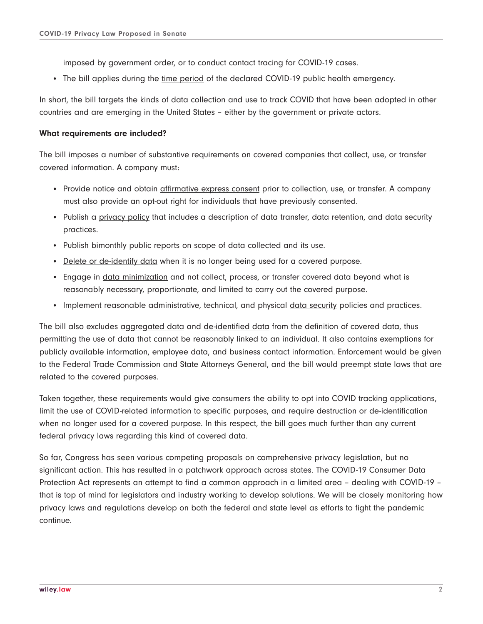imposed by government order, or to conduct contact tracing for COVID-19 cases.

• The bill applies during the time period of the declared COVID-19 public health emergency.

In short, the bill targets the kinds of data collection and use to track COVID that have been adopted in other countries and are emerging in the United States – either by the government or private actors.

### **What requirements are included?**

The bill imposes a number of substantive requirements on covered companies that collect, use, or transfer covered information. A company must:

- Provide notice and obtain *affirmative express consent* prior to collection, use, or transfer. A company must also provide an opt-out right for individuals that have previously consented.
- Publish a privacy policy that includes a description of data transfer, data retention, and data security practices.
- Publish bimonthly public reports on scope of data collected and its use.
- Delete or de-identify data when it is no longer being used for a covered purpose.
- Engage in data minimization and not collect, process, or transfer covered data beyond what is reasonably necessary, proportionate, and limited to carry out the covered purpose.
- Implement reasonable administrative, technical, and physical data security policies and practices.

The bill also excludes aggregated data and de-identified data from the definition of covered data, thus permitting the use of data that cannot be reasonably linked to an individual. It also contains exemptions for publicly available information, employee data, and business contact information. Enforcement would be given to the Federal Trade Commission and State Attorneys General, and the bill would preempt state laws that are related to the covered purposes.

Taken together, these requirements would give consumers the ability to opt into COVID tracking applications, limit the use of COVID-related information to specific purposes, and require destruction or de-identification when no longer used for a covered purpose. In this respect, the bill goes much further than any current federal privacy laws regarding this kind of covered data.

So far, Congress has seen various competing proposals on comprehensive privacy legislation, but no significant action. This has resulted in a patchwork approach across states. The COVID-19 Consumer Data Protection Act represents an attempt to find a common approach in a limited area – dealing with COVID-19 – that is top of mind for legislators and industry working to develop solutions. We will be closely monitoring how privacy laws and regulations develop on both the federal and state level as efforts to fight the pandemic continue.